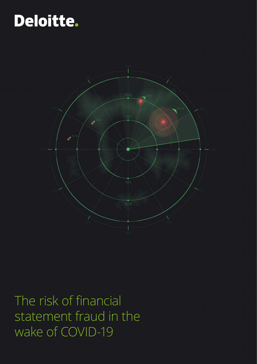## Deloitte.



The risk of financial statement fraud in the wake of COVID-19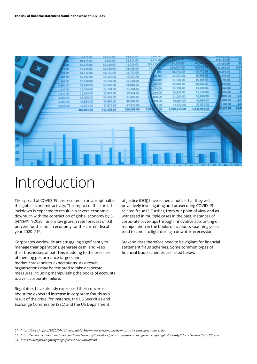

### Introduction

The spread of COVID-19 has resulted in an abrupt halt in the global economic activity. The impact of this forced lockdown is expected to result in a severe economic downturn with the contraction of global economy by 3 percent in 2020<sup>1</sup> and a low growth rate forecast of 0.8 percent for the Indian economy for the current fiscal year 2020–212.

Corporates worldwide are struggling significantly to manage their operations, generate cash, and keep their businesses afloat. This is adding to the pressure of meeting performance targets and market / stakeholder expectations. As a result, organisations may be tempted to take desperate measures including manipulating the books of accounts to avert corporate failure.

Regulators have already expressed their concerns about the expected increase in corporate frauds as a result of the crisis, for instance, the US Securities and Exchange Commission (SEC) and the US Department

of Justice (DOJ) have issued a notice that they will be actively investigating and prosecuting COVID-19 related frauds3. Further, from our point of view and as witnessed in multiple cases in the past, instances of corporate cover-ups through innovative accounting or manipulation in the books of accounts spanning years tend to come to light during a downturn/recession.

Stakeholders therefore need to be vigilant for financial statement fraud schemes. Some common types of financial fraud schemes are listed below.

*01. https://blogs.imf.org/2020/04/14/the-great-lockdown-worst-economic-downturn-since-the-great-depression*

- *02. https://economictimes.indiatimes.com/news/economy/indicators/fitch-ratings-sees-india-growth-slipping-to-0-8-in-fy21/articleshow/75313106.cms*
- *03. https://www.justice.gov/ag/page/file/1258676/download*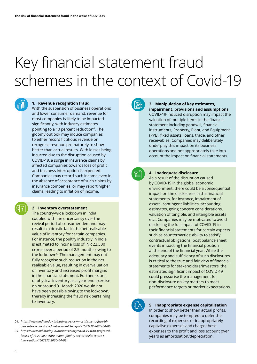# Key financial statement fraud schemes in the context of Covid-19



#### **1. Revenue recognition fraud**

With the suspension of business operations and lower consumer demand, revenue for most companies is likely to be impacted significantly, with industry estimates pointing to a 10 percent reduction<sup>4</sup>. The gloomy outlook may induce companies to either record fictitious revenue or recognise revenue prematurely to show better than actual results. With losses being incurred due to the disruption caused by COVID-19, a surge in insurance claims by affected companies towards loss of profit and business interruption is expected. Companies may record such income even in the absence of acceptance of such claims by insurance companies, or may report higher claims, leading to inflation of income.

#### **2. Inventory overstatement**

The country-wide lockdown in India coupled with the uncertainty over the revival period of consumer demand may result in a drastic fall in the net realisable value of inventory for certain companies. For instance, the poultry industry in India is estimated to incur a loss of INR 22,500 crores over a period of 2.5 months owing to the lockdown<sup>5</sup>. The management may not fully recognise such reduction in the net realisable value, resulting in overvaluation of inventory and increased profit margins in the financial statement. Further, count of physical inventory as a year-end exercise on or around 31 March 2020 would not have been possible owing to the lockdown, thereby increasing the fraud risk pertaining to inventory.

- *04. https://www.indiatoday.in/business/story/most-firms-to-face-10 percent-revenue-loss-due-to-covid-19-cii-poll-1663718-2020-04-06*
- *05. https://www.indiatoday.in/business/story/covid-19-with-projectedlosses-of-rs-22-500-crore-indian-poultry-sector-seeks-centre-sintervention-1662872-2020-04-03*



#### **3. Manipulation of key estimates, impairment, provisions and assumptions**

COVID-19-induced disruption may impact the valuation of multiple items in the financial statement including goodwill, financial instruments, Property, Plant, and Equipment (PPE), fixed assets, loans, trade, and other receivables. Companies may deliberately underplay this impact on its business operations and not appropriately take into account the impact on financial statements.



#### **4. Inadequate disclosure**

As a result of the disruption caused by COVID-19 in the global economic environment, there could be a consequential impact on the disclosures in the financial statements, for instance, impairment of assets, contingent liabilities, accounting estimates, going concern considerations, valuation of tangible, and intangible assets etc.. Companies may be motivated to avoid disclosing the full impact of COVID-19 in their financial statements for certain aspects such as counterparties' ability to satisfy contractual obligations, post balance sheet events impacting the financial position at the end of the financial year. While the adequacy and sufficiency of such disclosures is critical to the true and fair view of financial statements for stakeholders/investors, the estimated significant impact of COVID-19 could pressurise the management for non-disclosure on key matters to meet performance targets or market expectations.



#### **5. Inappropriate expense capitalisation**

In order to show better than actual profits, companies may be tempted to defer the recording of expenses or inappropriately capitalise expenses and charge these expenses to the profit and loss account over years as amortisation/depreciation.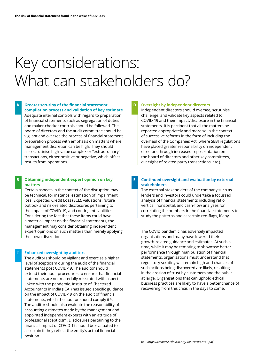## Key considerations: What can stakeholders do?

#### **Greater scrutiny of the financial statement A D compilation process and validation of key estimate**

Adequate internal controls with regard to preparation of financial statements such as segregation of duties and maker-checker controls should be followed. The board of directors and the audit committee should be vigilant and oversee the process of financial statement preparation process with emphasis on matters where management discretion can be high. They should also scrutinise high-value complex or "extraordinary" transactions, either positive or negative, which offset results from operations.

#### **Obtaining independent expert opinion on key B E matters**

Certain aspects in the context of the disruption may be technical, for instance, estimation of impairment loss, Expected Credit Loss (ECL), valuations, future outlook and risk-related disclosures pertaining to the impact of COVID-19, and contingent liabilities. Considering the fact that these items could have a material impact on the financial statements, the management may consider obtaining independent expert opinions on such matters than merely applying their own discretions.

#### **Enhanced oversight by auditors C**

The auditors should be vigilant and exercise a higher level of scepticism during the audit of the financial statements post COVID-19. The auditor should extend their audit procedures to ensure that financial statements are not materially misstated with aspects linked with the pandemic. Institute of Chartered Accountants in India (ICAI) has issued specific guidance on the impact of COVID-19 on the audit of financial statements, which the auditor should comply it <sup>6</sup>. The auditor should also evaluate the reasonability of accounting estimates made by the management and appointed independent experts with an attitude of professional scepticism. Disclosures pertaining to the financial impact of COVID-19 should be evaluated to ascertain if they reflect the entity's actual financial position.

#### **Oversight by independent directors**

Independent directors should oversee, scrutinise, challenge, and validate key aspects related to COVID-19 and their impact/disclosure in the financial statements. It is pertinent that all the matters be reported appropriately and more so in the context of successive reforms in the form of including the overhaul of the Companies Act (where SEBI regulations have placed greater responsibility on independent directors through increased representation on the board of directors and other key committees, oversight of related party transactions, etc.).

#### **Continued oversight and evaluation by external stakeholders**

The external stakeholders of the company such as lenders and investors could undertake a focussed analysis of financial statements including ratio, vertical, horizontal, and cash-flow analyses for correlating the numbers in the financial statements to study the patterns and ascertain red-flags, if any.

The COVID pandemic has adversely impacted organisations and many have lowered their growth-related guidance and estimates. At such a time, while it may be tempting to showcase better performance through manipulation of financial statements, organisations must understand that regulatory scrutiny will remain high and chances of such actions being discovered are likely, resulting in the erosion of trust by customers and the public at large. Organisations that can uphold ethical business practices are likely to have a better chance of recovering from this crisis in the days to come.